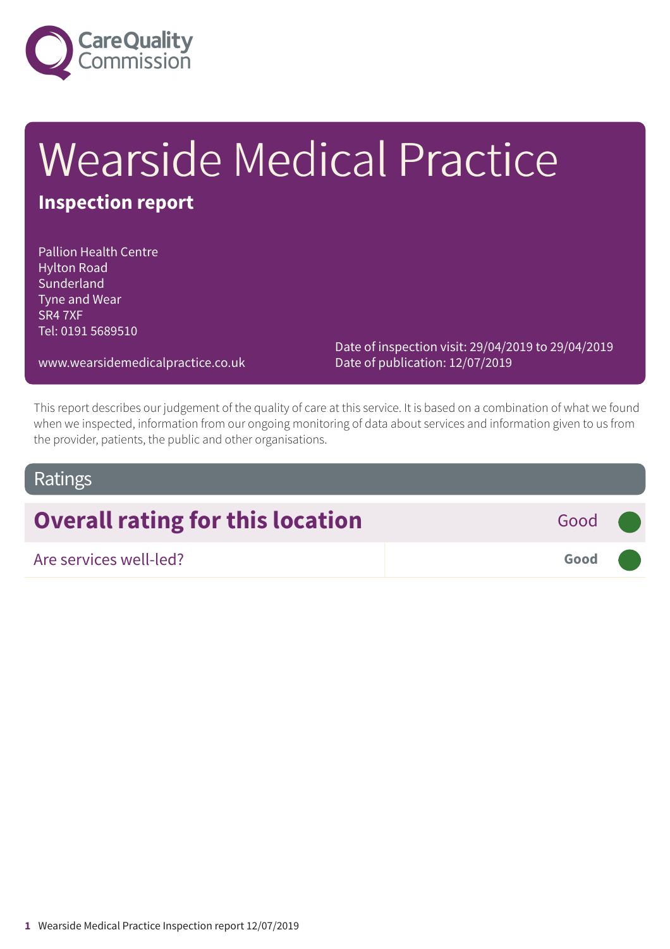

# Wearside Medical Practice

### **Inspection report**

Pallion Health Centre Hylton Road Sunderland Tyne and Wear SR4 7XF Tel: 0191 5689510

> Date of inspection visit: 29/04/2019 to 29/04/2019 Date of publication: 12/07/2019

www.wearsidemedicalpractice.co.uk

This report describes our judgement of the quality of care at this service. It is based on a combination of what we found when we inspected, information from our ongoing monitoring of data about services and information given to us from the provider, patients, the public and other organisations.

### Ratings

## **Overall rating for this location Good Good**

Are services well-led? **Good –––**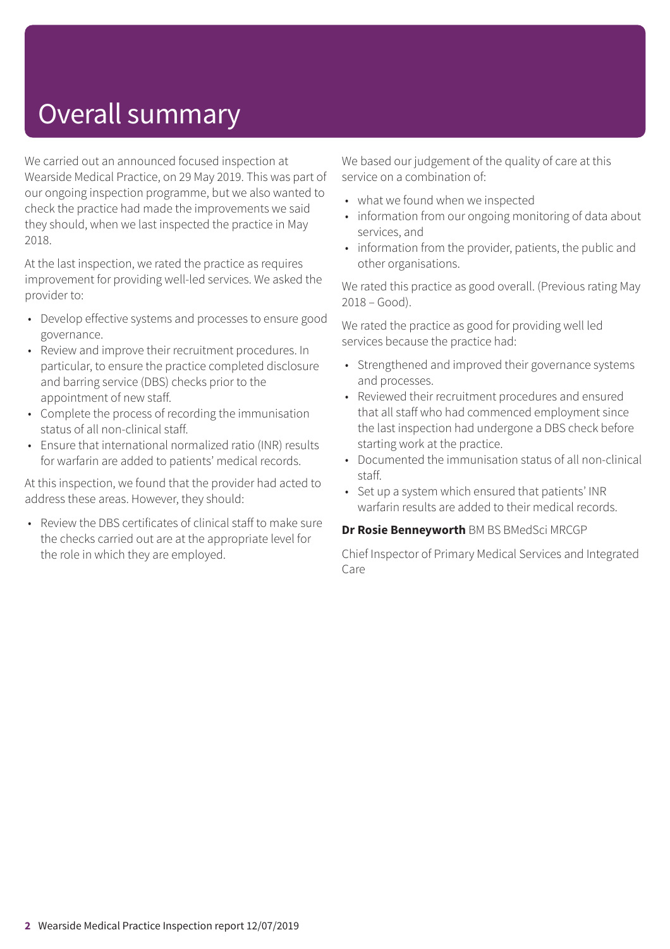### Overall summary

We carried out an announced focused inspection at Wearside Medical Practice, on 29 May 2019. This was part of our ongoing inspection programme, but we also wanted to check the practice had made the improvements we said they should, when we last inspected the practice in May 2018.

At the last inspection, we rated the practice as requires improvement for providing well-led services. We asked the provider to:

- Develop effective systems and processes to ensure good governance.
- Review and improve their recruitment procedures. In particular, to ensure the practice completed disclosure and barring service (DBS) checks prior to the appointment of new staff.
- Complete the process of recording the immunisation status of all non-clinical staff.
- Ensure that international normalized ratio (INR) results for warfarin are added to patients' medical records.

At this inspection, we found that the provider had acted to address these areas. However, they should:

• Review the DBS certificates of clinical staff to make sure the checks carried out are at the appropriate level for the role in which they are employed.

We based our judgement of the quality of care at this service on a combination of:

- what we found when we inspected
- information from our ongoing monitoring of data about services, and
- information from the provider, patients, the public and other organisations.

We rated this practice as good overall. (Previous rating May 2018 – Good).

We rated the practice as good for providing well led services because the practice had:

- Strengthened and improved their governance systems and processes.
- Reviewed their recruitment procedures and ensured that all staff who had commenced employment since the last inspection had undergone a DBS check before starting work at the practice.
- Documented the immunisation status of all non-clinical staff.
- Set up a system which ensured that patients' INR warfarin results are added to their medical records.

#### **Dr Rosie Benneyworth** BM BS BMedSci MRCGP

Chief Inspector of Primary Medical Services and Integrated Care